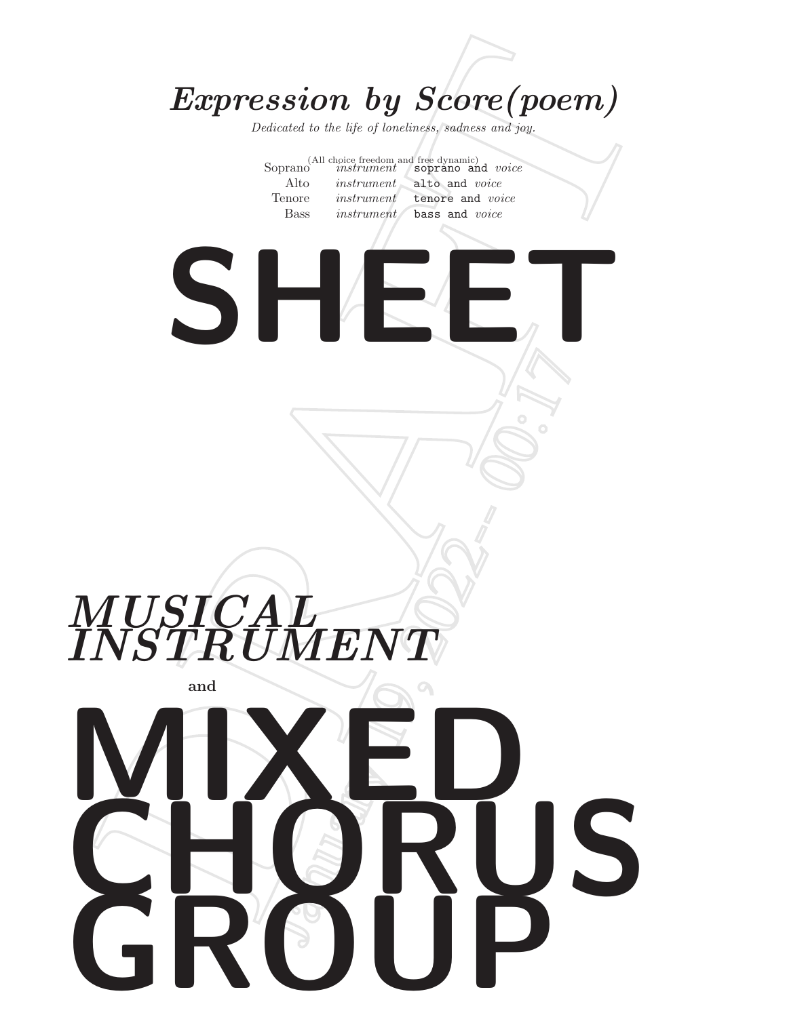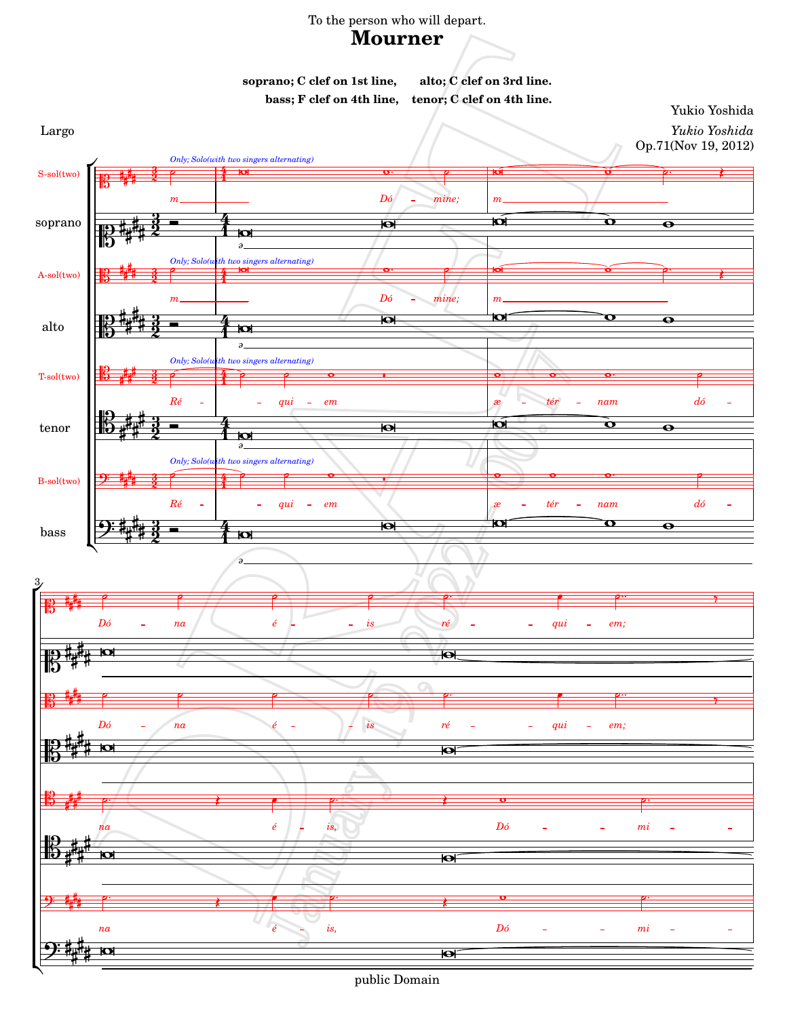## To the person who will depart.

# **Mourner**

**soprano; C clef on 1st line, alto; C clef on 3rd line. bass; F clef on 4th line, tenor; C clef on 4th line.**

Yukio Yoshida Largo *Yukio Yoshida*



public Domain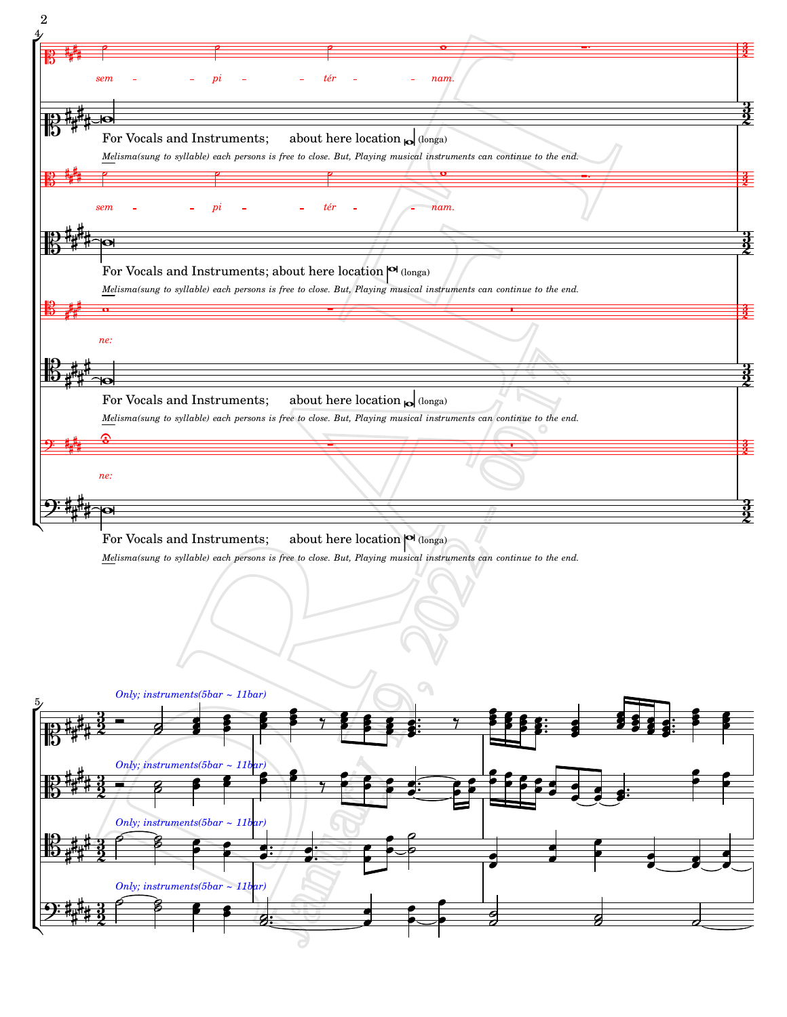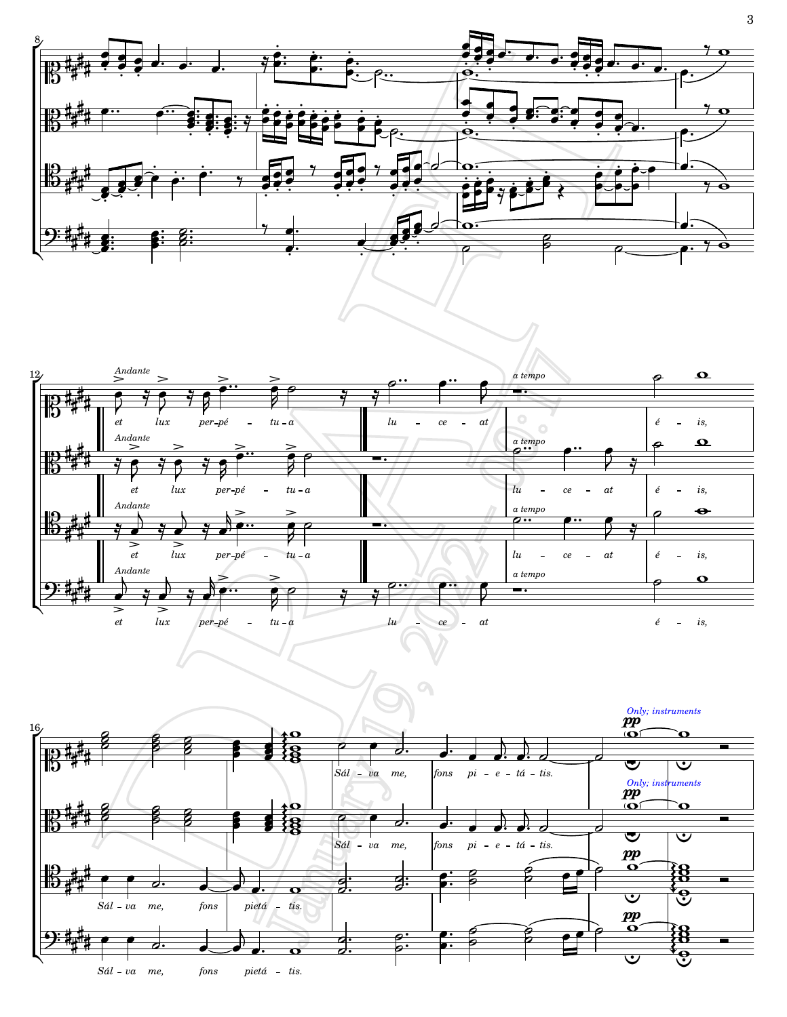



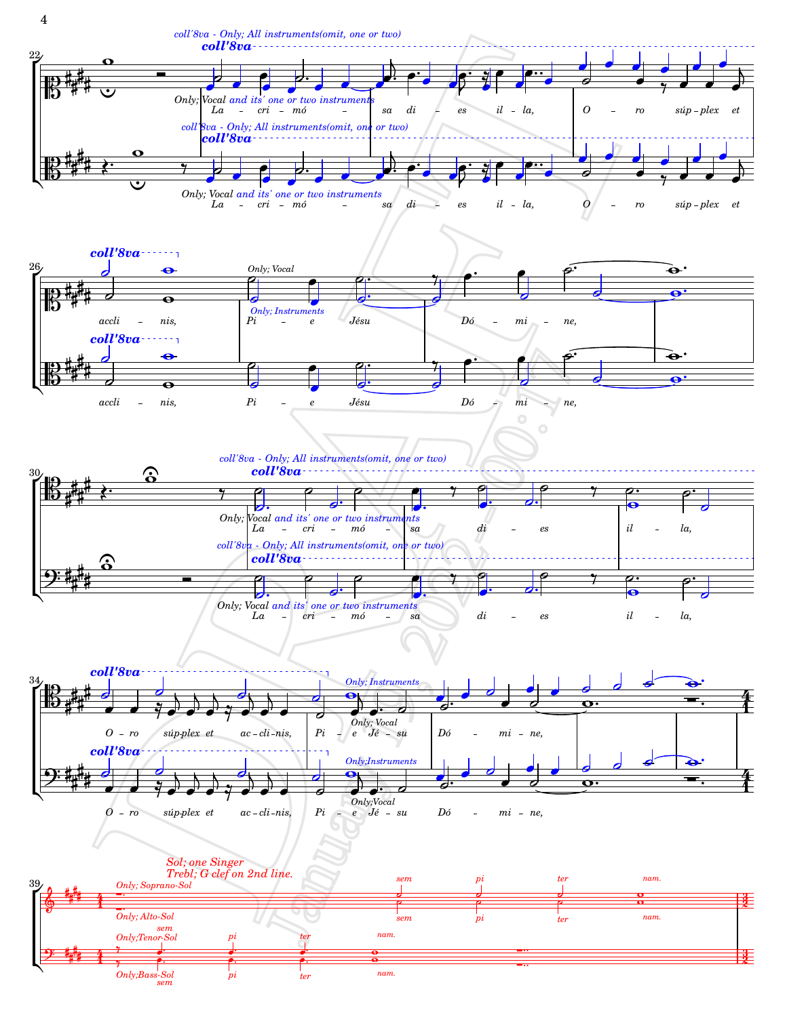

*[ter](textedit:///mnt/c/yukio/sheet-poem.com/2012-2015/2012/mourner/mourner-cv.ly:716:21:22)*

*[pi](textedit:///mnt/c/yukio/sheet-poem.com/2012-2015/2012/mourner/mourner-cv.ly:715:21:22)*

*[sem](textedit:///mnt/c/yukio/sheet-poem.com/2012-2015/2012/mourner/mourner-cv.ly:714:23:24)*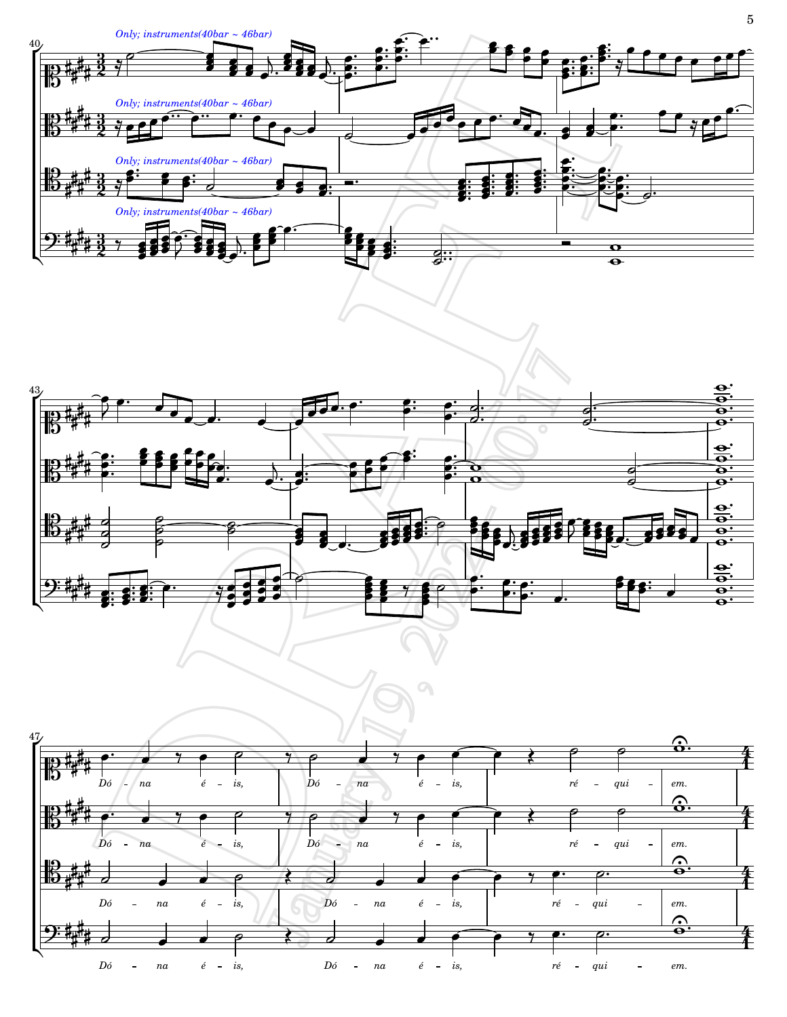



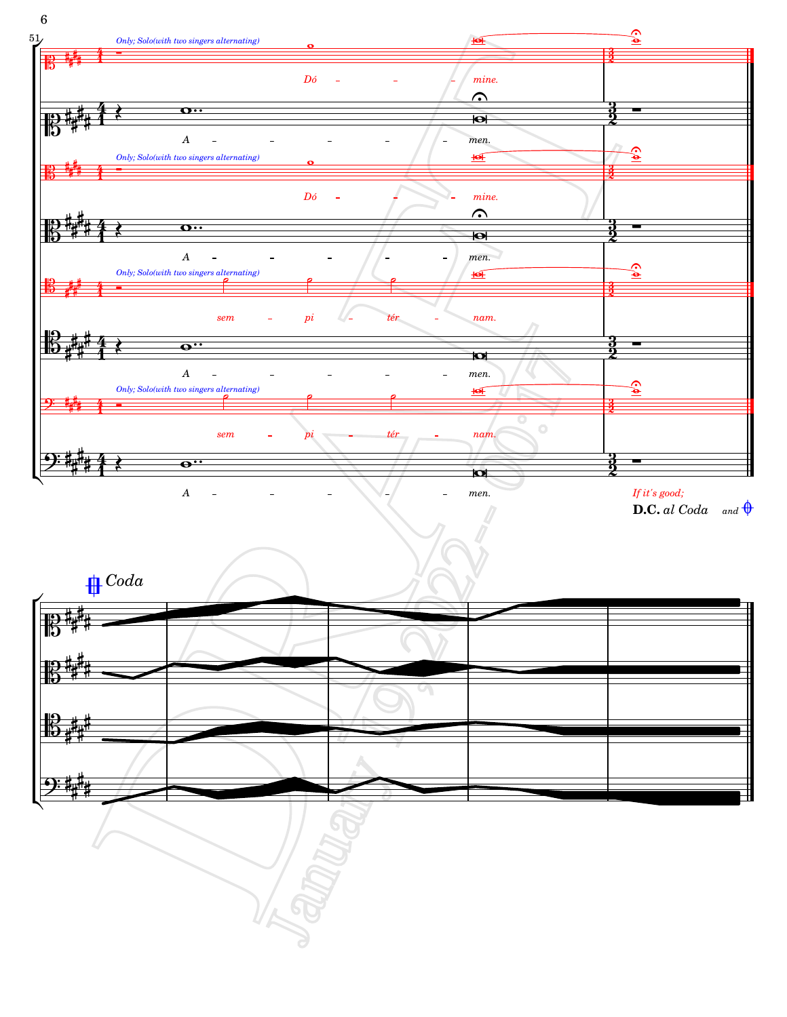

**D.C.** [al Coda](textedit:///mnt/c/yukio/sheet-poem.com/2012-2015/2012/mourner/mourner-cv.ly:1190:6:7) and  $\bigoplus$ 

*[Coda](textedit:///mnt/c/yukio/sheet-poem.com/2012-2015/2012/mourner/mourner-cv.ly:232:0:1)*



6